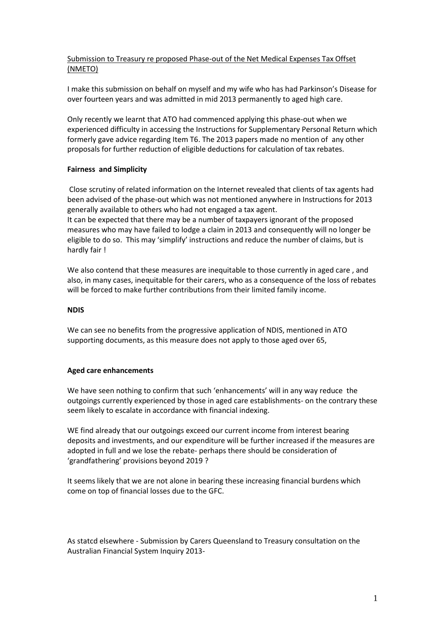## Submission to Treasury re proposed Phase-out of the Net Medical Expenses Tax Offset (NMETO)

I make this submission on behalf on myself and my wife who has had Parkinson's Disease for over fourteen years and was admitted in mid 2013 permanently to aged high care.

Only recently we learnt that ATO had commenced applying this phase-out when we experienced difficulty in accessing the Instructions for Supplementary Personal Return which formerly gave advice regarding Item T6. The 2013 papers made no mention of any other proposals for further reduction of eligible deductions for calculation of tax rebates.

## **Fairness and Simplicity**

Close scrutiny of related information on the Internet revealed that clients of tax agents had been advised of the phase-out which was not mentioned anywhere in Instructions for 2013 generally available to others who had not engaged a tax agent.

It can be expected that there may be a number of taxpayers ignorant of the proposed measures who may have failed to lodge a claim in 2013 and consequently will no longer be eligible to do so. This may 'simplify' instructions and reduce the number of claims, but is hardly fair !

We also contend that these measures are inequitable to those currently in aged care , and also, in many cases, inequitable for their carers, who as a consequence of the loss of rebates will be forced to make further contributions from their limited family income.

## **NDIS**

We can see no benefits from the progressive application of NDIS, mentioned in ATO supporting documents, as this measure does not apply to those aged over 65,

## **Aged care enhancements**

We have seen nothing to confirm that such 'enhancements' will in any way reduce the outgoings currently experienced by those in aged care establishments- on the contrary these seem likely to escalate in accordance with financial indexing.

WE find already that our outgoings exceed our current income from interest bearing deposits and investments, and our expenditure will be further increased if the measures are adopted in full and we lose the rebate- perhaps there should be consideration of 'grandfathering' provisions beyond 2019 ?

It seems likely that we are not alone in bearing these increasing financial burdens which come on top of financial losses due to the GFC.

As statcd elsewhere - Submission by Carers Queensland to Treasury consultation on the Australian Financial System Inquiry 2013-